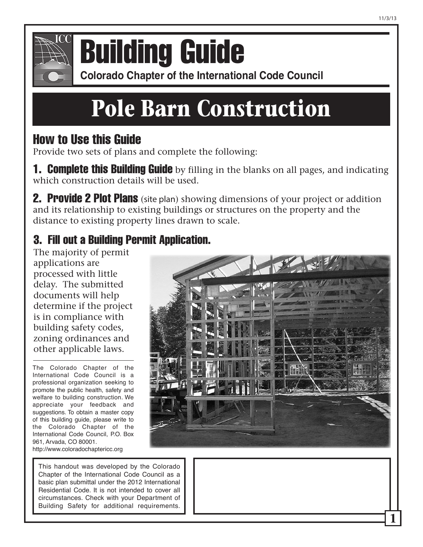

## **Colorado Chapter of the International Conference of Building Building Guide**

**Colorado Chapter of the International Code Council** 

# **Pole Barn Construction**

## How to Use this Guide

Provide two sets of plans and complete the following:

**1. Complete this Building Guide** by filling in the blanks on all pages, and indicating which construction details will be used.

**2. Provide 2 Plot Plans** (site plan) showing dimensions of your project or addition and its relationship to existing buildings or structures on the property and the distance to existing property lines drawn to scale.

### 3. Fill out a Building Permit Application.

The majority of permit applications are processed with little delay. The submitted documents will help determine if the project is in compliance with building safety codes, zoning ordinances and other applicable laws.

The Colorado Chapter of the International Code Council is a professional organization seeking to promote the public health, safety and welfare to building construction. We appreciate your feedback and suggestions. To obtain a master copy of this building guide, please write to the Colorado Chapter of the International Code Council, P.O. Box 961, Arvada, CO 80001. http://www.coloradochaptericc.org

This handout was developed by the Colorado Chapter of the International Code Council as a basic plan submittal under the 2012 International Residential Code. It is not intended to cover all circumstances. Check with your Department of Building Safety for additional requirements.

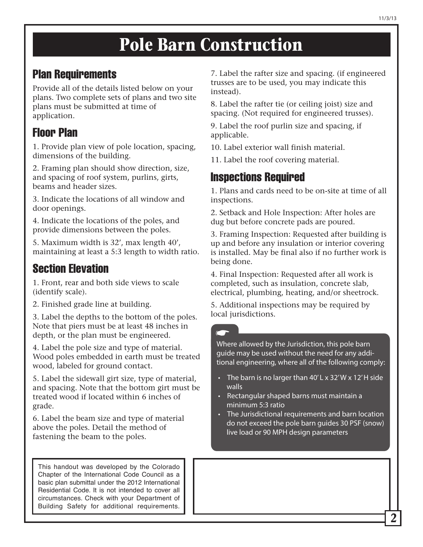#### Plan Requirements

Provide all of the details listed below on your plans. Two complete sets of plans and two site plans must be submitted at time of application.

#### Floor Plan

1. Provide plan view of pole location, spacing, dimensions of the building.

2. Framing plan should show direction, size, and spacing of roof system, purlins, girts, beams and header sizes.

3. Indicate the locations of all window and door openings.

4. Indicate the locations of the poles, and provide dimensions between the poles.

5. Maximum width is 32', max length 40', maintaining at least a 5:3 length to width ratio.

#### Section Elevation

1. Front, rear and both side views to scale (identify scale).

2. Finished grade line at building.

3. Label the depths to the bottom of the poles. Note that piers must be at least 48 inches in depth, or the plan must be engineered.

4. Label the pole size and type of material. Wood poles embedded in earth must be treated wood, labeled for ground contact.

5. Label the sidewall girt size, type of material, and spacing. Note that the bottom girt must be treated wood if located within 6 inches of grade.

6. Label the beam size and type of material above the poles. Detail the method of fastening the beam to the poles.

This handout was developed by the Colorado Chapter of the International Code Council as a basic plan submittal under the 2012 International Residential Code. It is not intended to cover all circumstances. Check with your Department of Building Safety for additional requirements.

7. Label the rafter size and spacing. (if engineered trusses are to be used, you may indicate this instead).

8. Label the rafter tie (or ceiling joist) size and spacing. (Not required for engineered trusses).

9. Label the roof purlin size and spacing, if applicable.

10. Label exterior wall finish material.

11. Label the roof covering material.

#### Inspections Required

1. Plans and cards need to be on-site at time of all inspections.

2. Setback and Hole Inspection: After holes are dug but before concrete pads are poured.

3. Framing Inspection: Requested after building is up and before any insulation or interior covering is installed. May be final also if no further work is being done.

4. Final Inspection: Requested after all work is completed, such as insulation, concrete slab, electrical, plumbing, heating, and/or sheetrock.

5. Additional inspections may be required by local jurisdictions.

Where allowed by the Jurisdiction, this pole barn guide may be used without the need for any additional engineering, where all of the following comply:

- The barn is no larger than 40' L x 32' W x 12' H side walls
- Rectangular shaped barns must maintain a minimum 5:3 ratio
- The Jurisdictional requirements and barn location do not exceed the pole barn guides 30 PSF (snow) live load or 90 MPH design parameters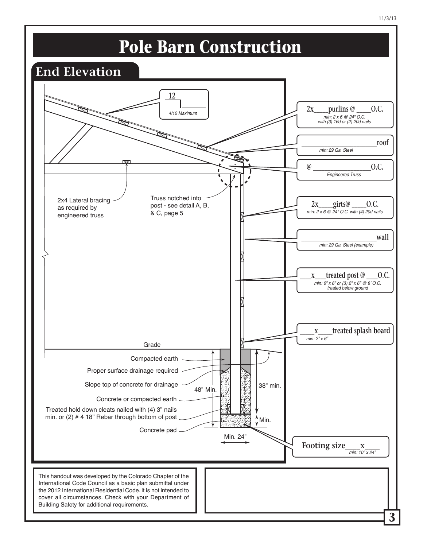

**3**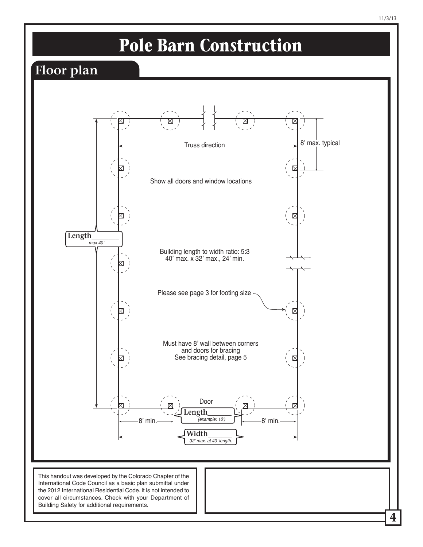

**4**